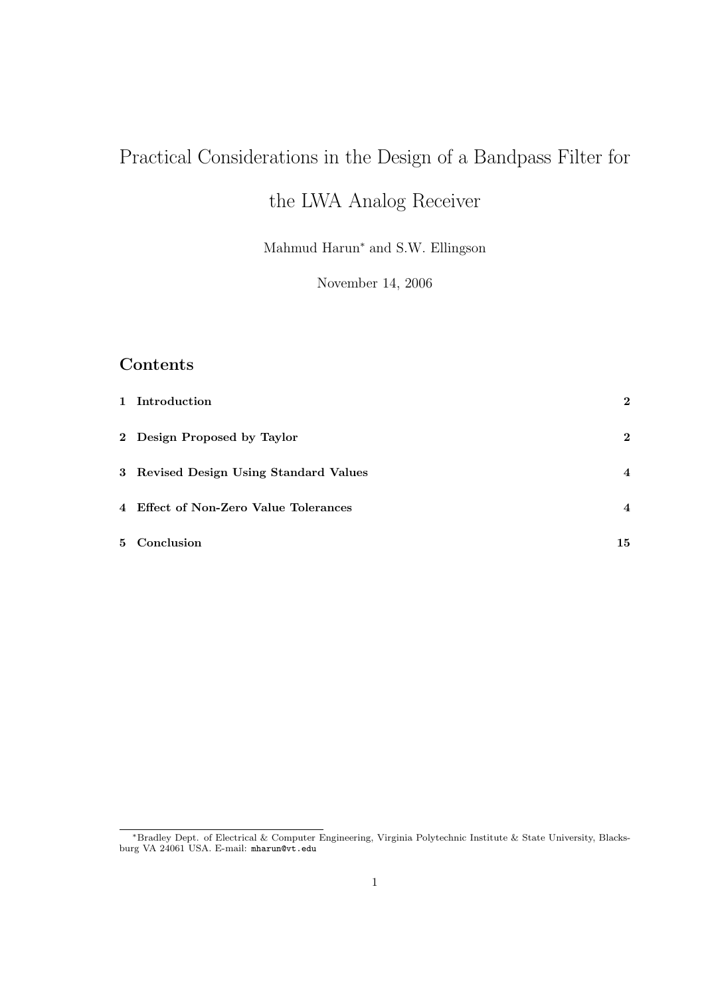# Practical Considerations in the Design of a Bandpass Filter for

## the LWA Analog Receiver

Mahmud Harun<sup>∗</sup> and S.W. Ellingson

November 14, 2006

#### Contents

| 1 Introduction                         | $\bf{2}$       |
|----------------------------------------|----------------|
| 2 Design Proposed by Taylor            | $\bf{2}$       |
| 3 Revised Design Using Standard Values | $\overline{4}$ |
| 4 Effect of Non-Zero Value Tolerances  | $\overline{4}$ |
| 5 Conclusion                           | 15             |

<sup>∗</sup>Bradley Dept. of Electrical & Computer Engineering, Virginia Polytechnic Institute & State University, Blacksburg VA 24061 USA. E-mail: mharun@vt.edu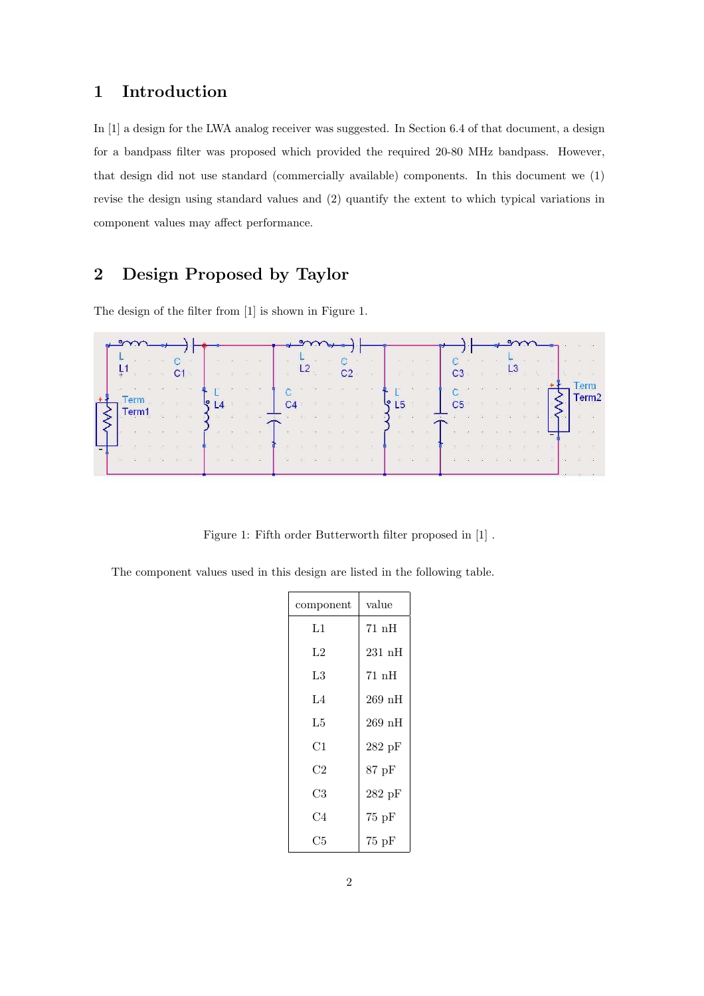#### 1 Introduction

In [1] a design for the LWA analog receiver was suggested. In Section 6.4 of that document, a design for a bandpass filter was proposed which provided the required 20-80 MHz bandpass. However, that design did not use standard (commercially available) components. In this document we (1) revise the design using standard values and (2) quantify the extent to which typical variations in component values may affect performance.

#### 2 Design Proposed by Taylor

The design of the filter from [1] is shown in Figure 1.

|  |  |  |                                |                                                            |           |    |   |                               |                                           |    |                |                                            |       |                |                                                                                                                                                                                                        |  |        |  |  | <b>CB</b> 80 08 |                   |
|--|--|--|--------------------------------|------------------------------------------------------------|-----------|----|---|-------------------------------|-------------------------------------------|----|----------------|--------------------------------------------|-------|----------------|--------------------------------------------------------------------------------------------------------------------------------------------------------------------------------------------------------|--|--------|--|--|-----------------|-------------------|
|  |  |  |                                |                                                            |           | 28 | 忠 | $\mathcal{L}^{\mathcal{A}}$ . |                                           |    | - 25           |                                            | 女に、一次 |                |                                                                                                                                                                                                        |  | 一度に、数量 |  |  |                 |                   |
|  |  |  | $\sim$ $\sim$ $\sim$ C1 $\sim$ |                                                            | 8 8 8 8 8 |    |   |                               | a the second control of the second second | C2 | <b>Barbara</b> |                                            |       | 一、 第二、 第二、 第二、 |                                                                                                                                                                                                        |  |        |  |  | 第 章 第           |                   |
|  |  |  |                                | 98 8 90 3 8 90 3 2 1 2 3 4 5 6 6 7                         |           |    |   |                               |                                           |    |                | ingster of a control of the product of the |       |                | $\label{eq:2.1} \mathcal{C}(\mathbf{S}_n^{\mathcal{G}} \otimes \mathbb{R}) = \mathcal{R} \qquad \text{for} \qquad \mathcal{R} = \mathcal{R} \qquad \text{for} \qquad \mathcal{R} = \mathcal{R} \qquad$ |  |        |  |  | <b>Term</b>     | Term <sub>2</sub> |
|  |  |  |                                | $\sqrt{1}$ erm $\sqrt{14}$ and $\sqrt{14}$ and $\sqrt{14}$ |           |    |   |                               |                                           |    |                | $C4$ and $C4$ and $C4$ and $C5$ and $C5$   |       |                | <b>C5</b> a series and                                                                                                                                                                                 |  |        |  |  | 1991 - S        |                   |
|  |  |  |                                |                                                            |           |    |   |                               |                                           |    |                |                                            |       |                |                                                                                                                                                                                                        |  |        |  |  |                 |                   |
|  |  |  |                                |                                                            |           |    |   |                               |                                           |    |                |                                            |       |                |                                                                                                                                                                                                        |  |        |  |  |                 |                   |
|  |  |  |                                |                                                            |           |    |   |                               |                                           |    |                |                                            |       |                |                                                                                                                                                                                                        |  |        |  |  |                 |                   |
|  |  |  |                                |                                                            |           |    |   |                               |                                           |    |                |                                            |       |                |                                                                                                                                                                                                        |  |        |  |  |                 |                   |

Figure 1: Fifth order Butterworth filter proposed in [1] .

The component values used in this design are listed in the following table.

| component      | value    |
|----------------|----------|
| L1             | 71 nH    |
| L <sub>2</sub> | 231 nH   |
| L3             | 71nH     |
| $L_4$          | $269$ nH |
| L5             | $269$ nH |
| C1             | 282pF    |
| C2             | 87 pF    |
| C3             | 282pF    |
| C4             | 75pF     |
| C5             | 75pF     |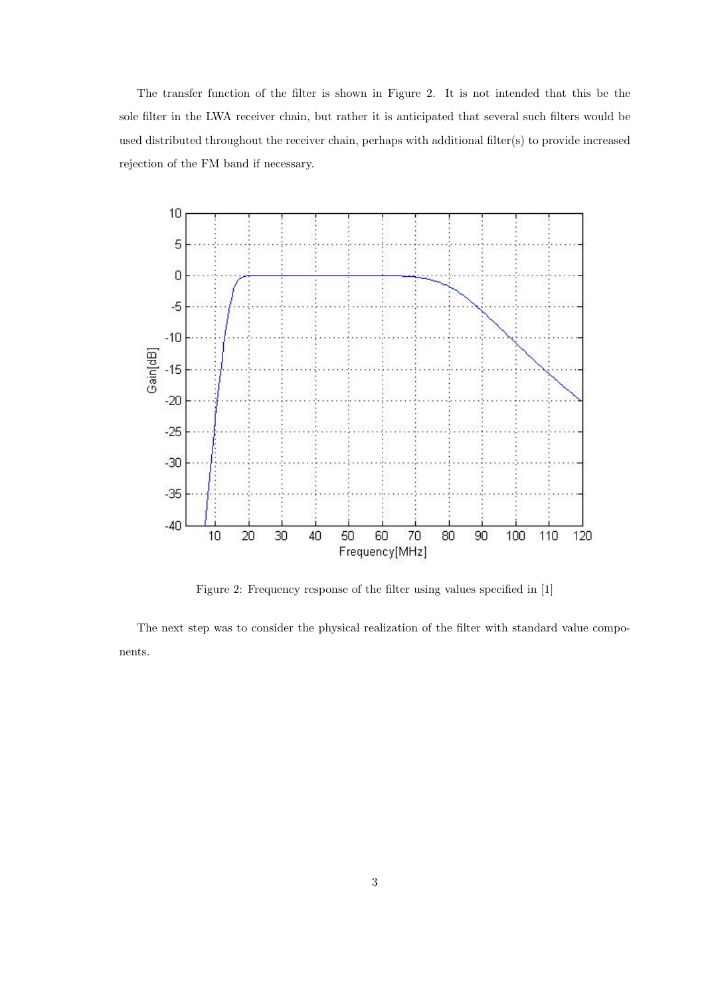The transfer function of the filter is shown in Figure 2. It is not intended that this be the sole filter in the LWA receiver chain, but rather it is anticipated that several such filters would be used distributed throughout the receiver chain, perhaps with additional filter(s) to provide increased rejection of the FM band if necessary.



Figure 2: Frequency response of the filter using values specified in [1]

The next step was to consider the physical realization of the filter with standard value components.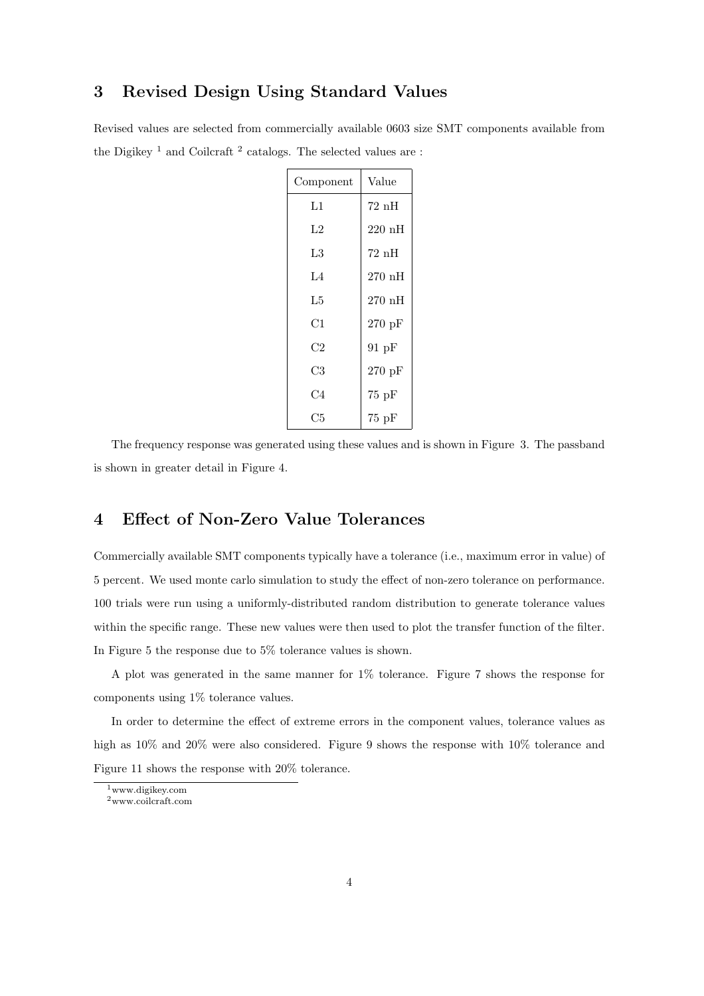#### 3 Revised Design Using Standard Values

Revised values are selected from commercially available 0603 size SMT components available from the Digikey<sup>1</sup> and Coilcraft<sup>2</sup> catalogs. The selected values are:

| Component | Value    |
|-----------|----------|
| L1        | 72 nH    |
| L2        | $220$ nH |
| L3        | 72 nH    |
| $L_4$     | 270nH    |
| L5        | $270$ nH |
| C1        | 270 pF   |
| C2        | $91$ pF  |
| C3        | $270$ pF |
| C4        | 75pF     |
| C5        | $75$ pF  |

The frequency response was generated using these values and is shown in Figure 3. The passband is shown in greater detail in Figure 4.

#### 4 Effect of Non-Zero Value Tolerances

Commercially available SMT components typically have a tolerance (i.e., maximum error in value) of 5 percent. We used monte carlo simulation to study the effect of non-zero tolerance on performance. 100 trials were run using a uniformly-distributed random distribution to generate tolerance values within the specific range. These new values were then used to plot the transfer function of the filter. In Figure 5 the response due to 5% tolerance values is shown.

A plot was generated in the same manner for 1% tolerance. Figure 7 shows the response for components using 1% tolerance values.

In order to determine the effect of extreme errors in the component values, tolerance values as high as  $10\%$  and  $20\%$  were also considered. Figure 9 shows the response with  $10\%$  tolerance and Figure 11 shows the response with 20% tolerance.

<sup>1</sup>www.digikey.com

<sup>2</sup>www.coilcraft.com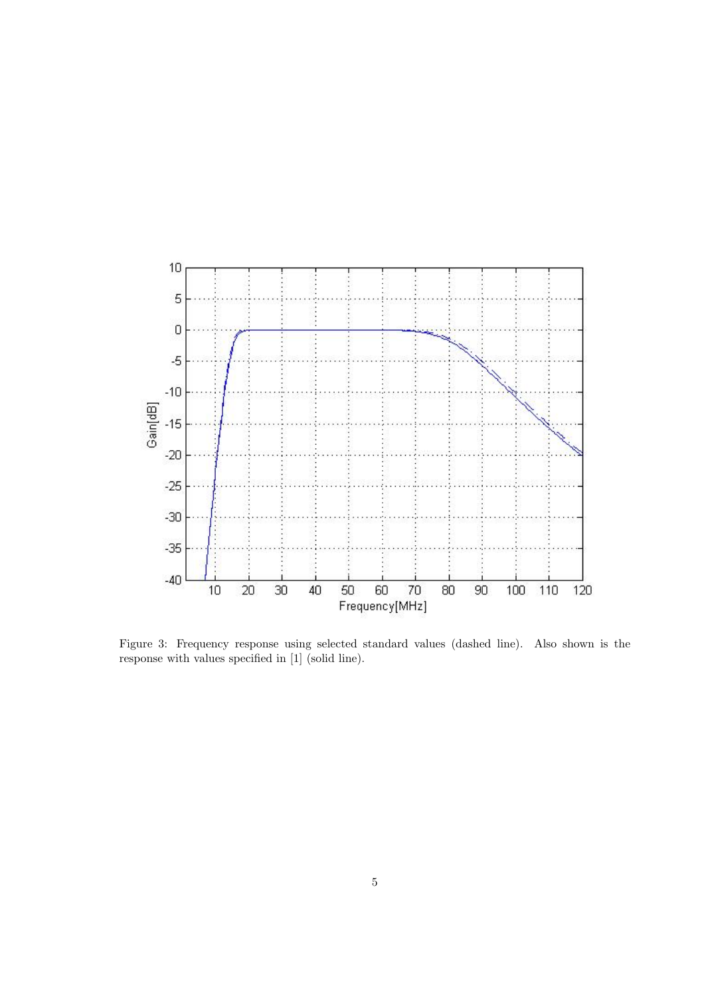

Figure 3: Frequency response using selected standard values (dashed line). Also shown is the response with values specified in [1] (solid line).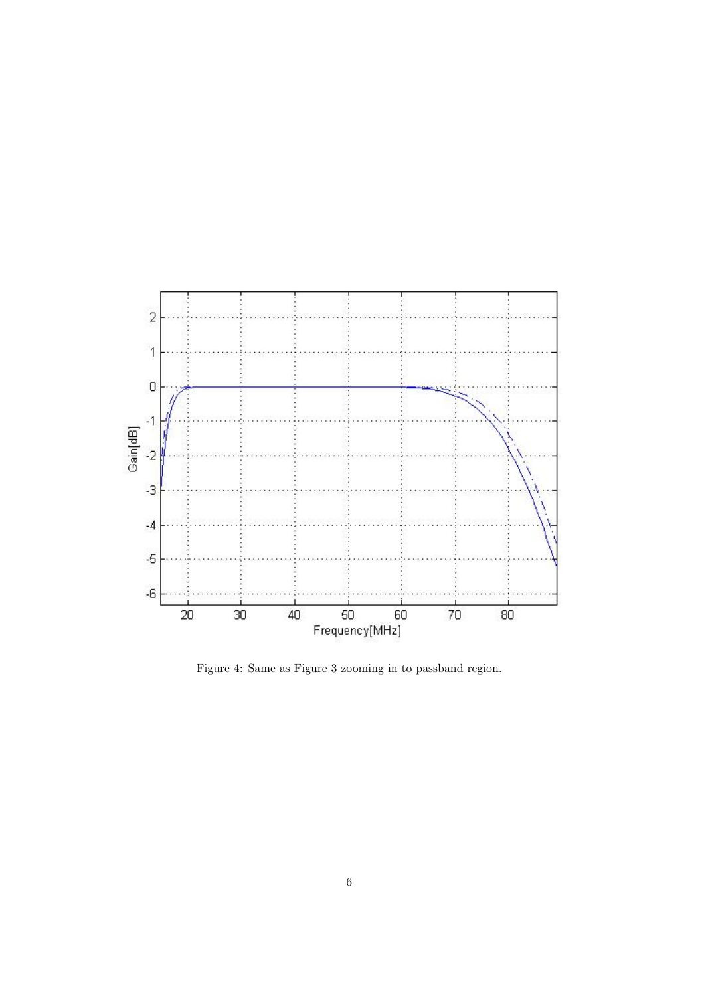

Figure 4: Same as Figure 3 zooming in to passband region.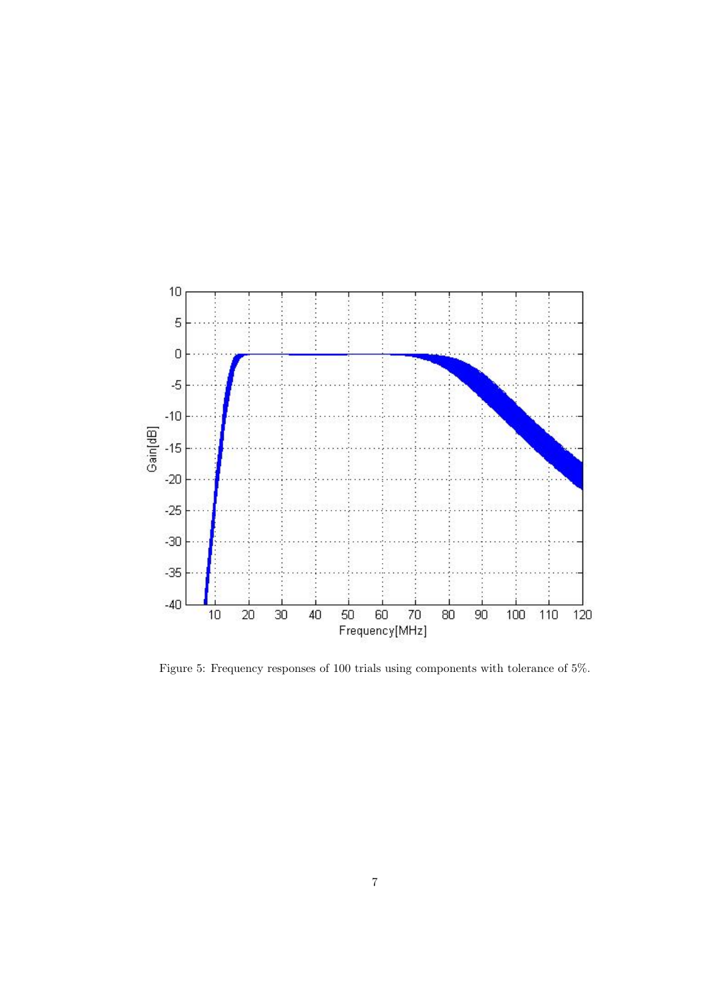

Figure 5: Frequency responses of 100 trials using components with tolerance of 5%.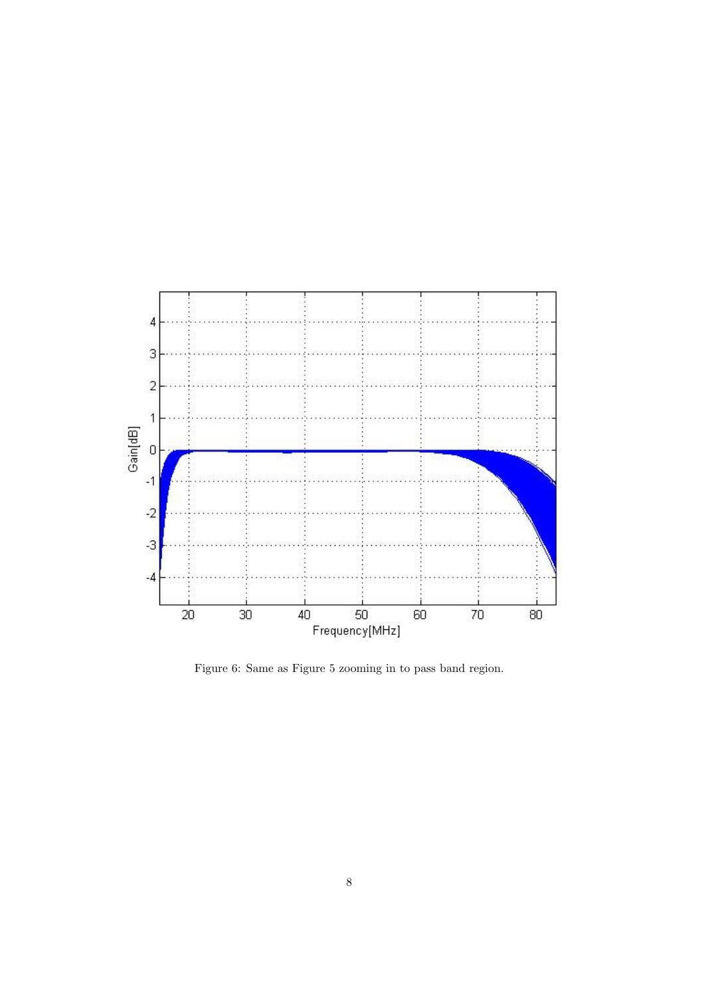

Figure 6: Same as Figure 5 zooming in to pass band region.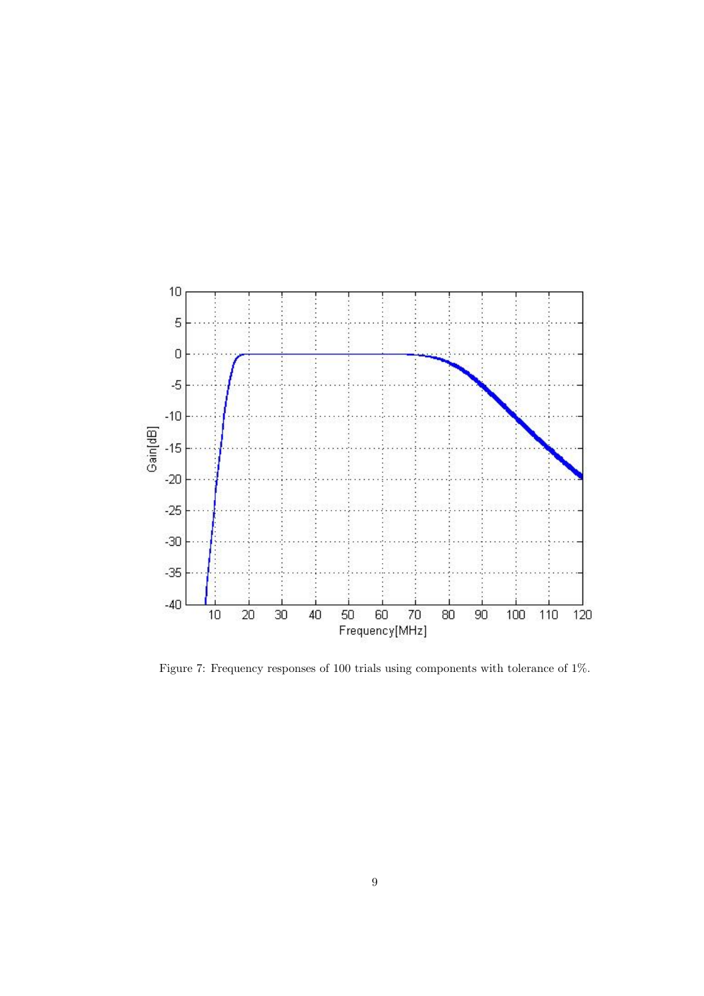

Figure 7: Frequency responses of 100 trials using components with tolerance of 1%.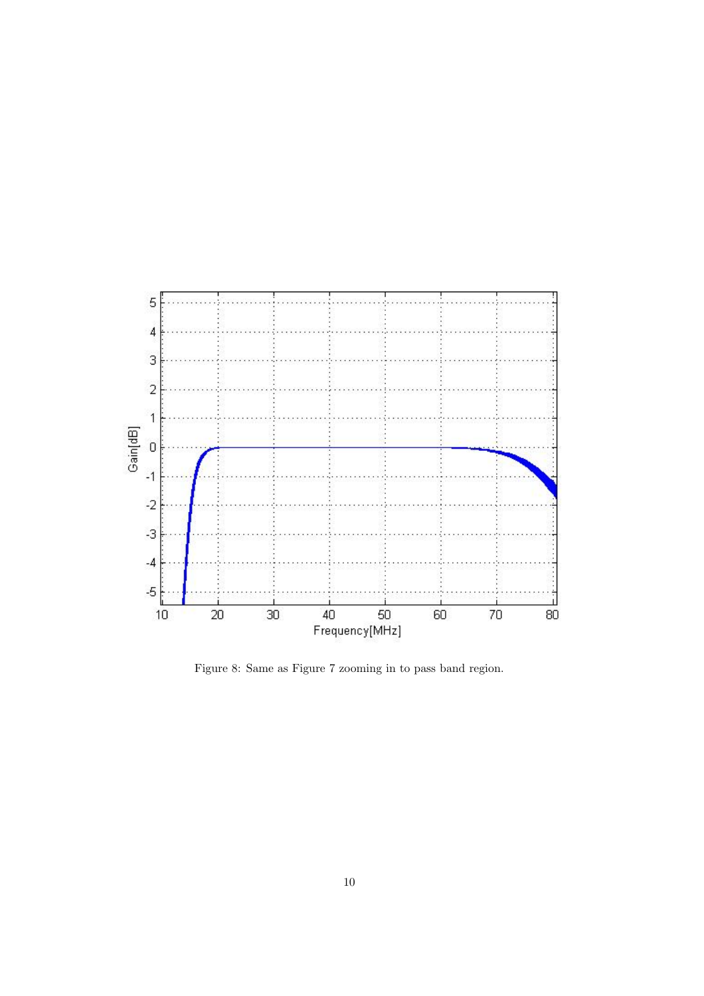

Figure 8: Same as Figure 7 zooming in to pass band region.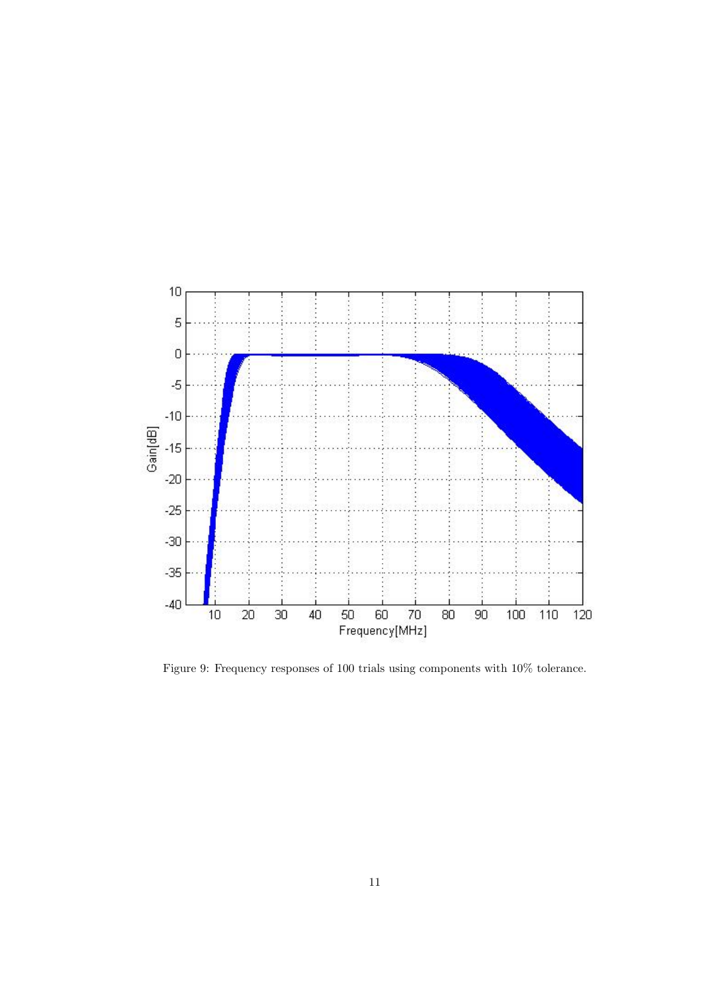

Figure 9: Frequency responses of 100 trials using components with 10% tolerance.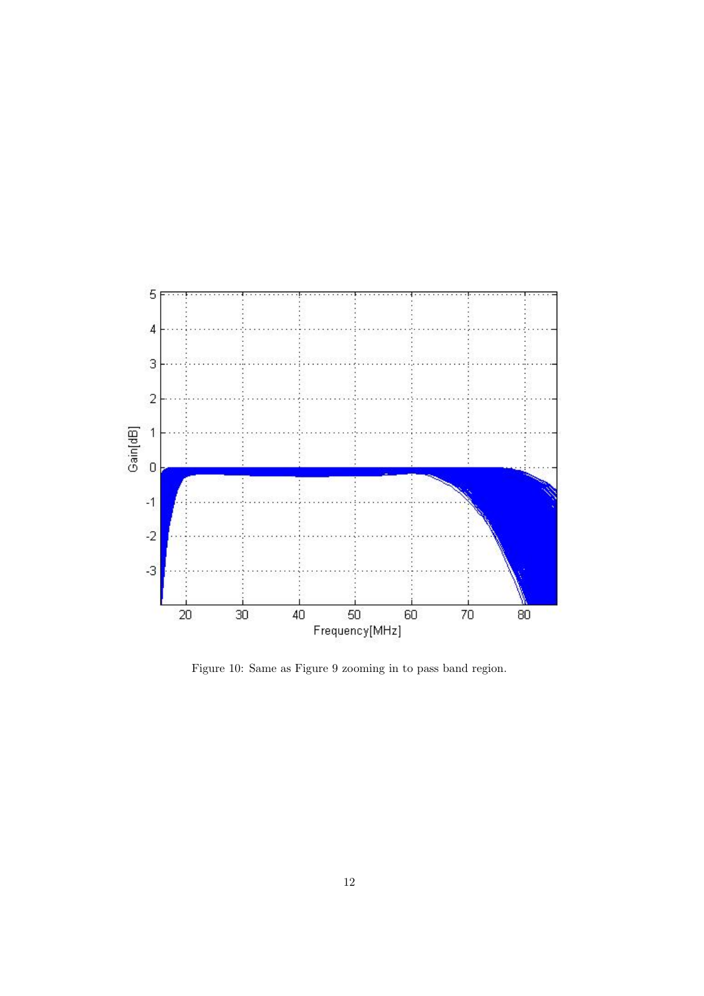

Figure 10: Same as Figure 9 zooming in to pass band region.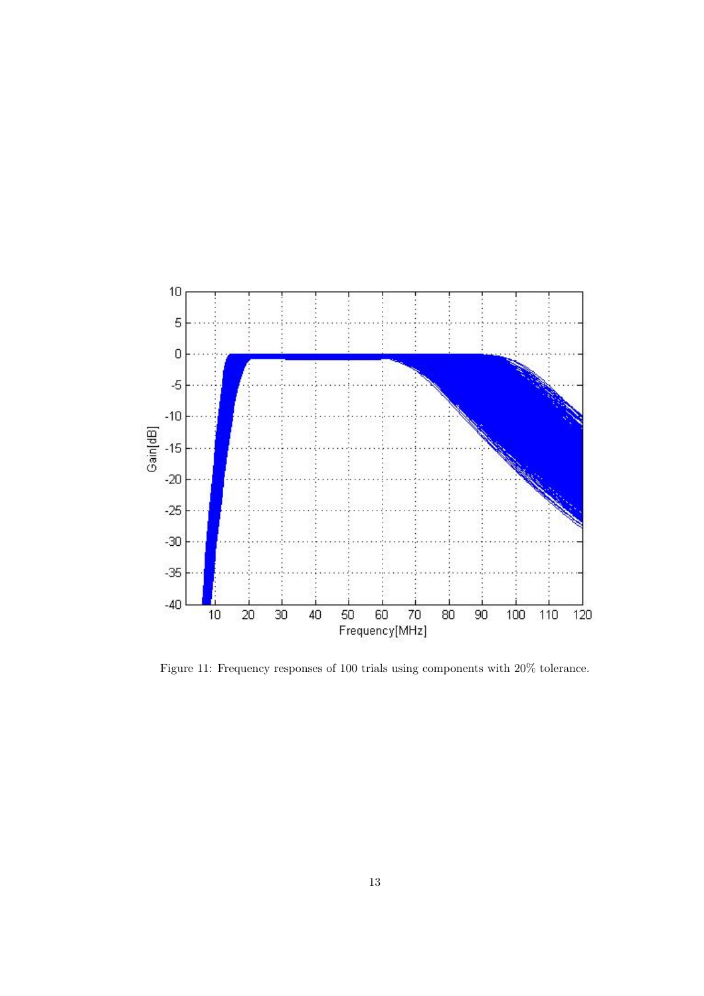

Figure 11: Frequency responses of 100 trials using components with 20% tolerance.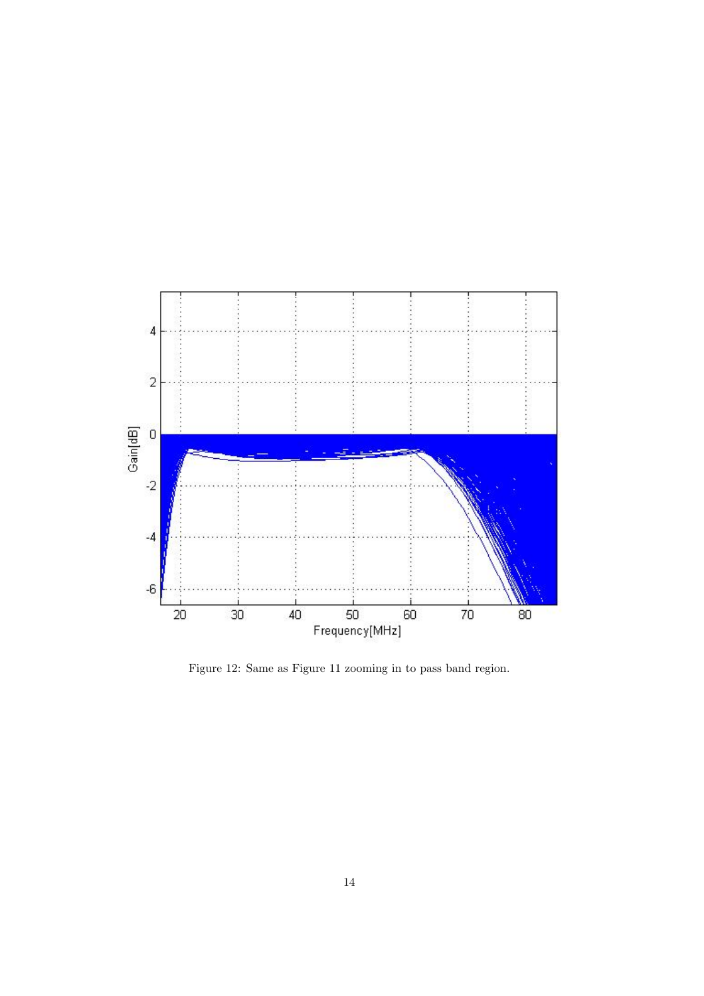

Figure 12: Same as Figure 11 zooming in to pass band region.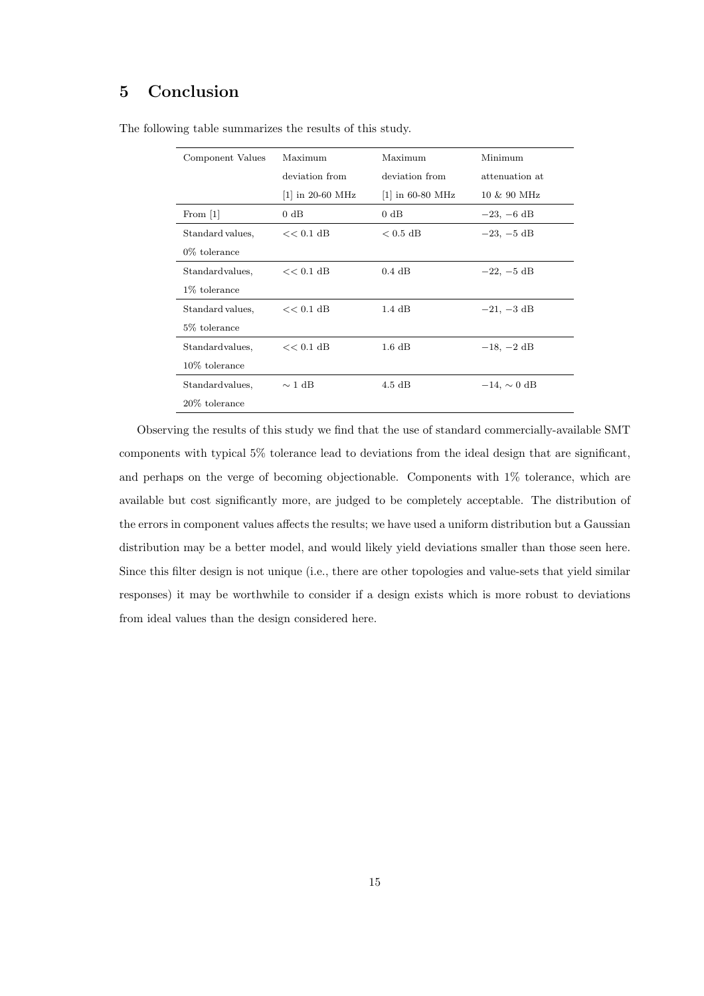#### 5 Conclusion

| Component Values | Maximum            | Maximum            | Minimum                |  |  |  |  |
|------------------|--------------------|--------------------|------------------------|--|--|--|--|
|                  | deviation from     | deviation from     | attenuation at         |  |  |  |  |
|                  | $ 1 $ in 20-60 MHz | $ 1 $ in 60-80 MHz | $10 \& 90 \text{ MHz}$ |  |  |  |  |
| From $[1]$       | 0 dB               | $0 \text{ dB}$     | $-23, -6$ dB           |  |  |  |  |
| Standard values, | $<< 0.1$ dB        | $< 0.5 \text{ dB}$ | $-23, -5$ dB           |  |  |  |  |
| $0\%$ tolerance  |                    |                    |                        |  |  |  |  |
| Standardvalues,  | $<< 0.1$ dB        | $0.4$ dB           | $-22, -5$ dB           |  |  |  |  |
| 1\% tolerance    |                    |                    |                        |  |  |  |  |
| Standard values, | $<< 0.1$ dB        | $1.4\;\mathrm{dB}$ | $-21, -3$ dB           |  |  |  |  |
| 5\% tolerance    |                    |                    |                        |  |  |  |  |
| Standardvalues,  | $<< 0.1$ dB        | $1.6\;\mathrm{dB}$ | $-18, -2 \text{ dB}$   |  |  |  |  |
| $10\%$ tolerance |                    |                    |                        |  |  |  |  |
| Standardvalues,  | $\sim$ 1 dB        | $4.5 \text{ dB}$   | $-14. \sim 0$ dB       |  |  |  |  |
| 20% tolerance    |                    |                    |                        |  |  |  |  |

The following table summarizes the results of this study.

Observing the results of this study we find that the use of standard commercially-available SMT components with typical 5% tolerance lead to deviations from the ideal design that are significant, and perhaps on the verge of becoming objectionable. Components with 1% tolerance, which are available but cost significantly more, are judged to be completely acceptable. The distribution of the errors in component values affects the results; we have used a uniform distribution but a Gaussian distribution may be a better model, and would likely yield deviations smaller than those seen here. Since this filter design is not unique (i.e., there are other topologies and value-sets that yield similar responses) it may be worthwhile to consider if a design exists which is more robust to deviations from ideal values than the design considered here.